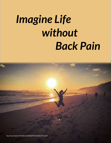# *Imagine Life without Back Pain*

Back Pain Relief | [PHYSICALTHERAPYSTUDIOCITY.COM](http://physicaltherapystudiocity.com)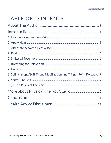# **TABLE OF CONTENTS**

| 8) Self Massage/Soft Tissue Mobilization and Trigger Point Releases. 9 |
|------------------------------------------------------------------------|
|                                                                        |
|                                                                        |
|                                                                        |
|                                                                        |
|                                                                        |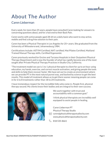# <span id="page-2-0"></span>About The Author

#### Caren Lieberman

Every week, for more than 25 years, people have consulted Caren looking for answers to concerning questions about, and for a fast end to their Back Pain.

Caren works with active people aged 28-64 on a daily basis who want to stay active, mobile and find a drug free solution to their pain.

Caren has been a Physical Therapist in Los Angeles for 25+ years. She graduated from the University of Witwatersrand, Johannesburg 1984.

Certifications Include: ASTYM Certified, NAT certified, Mat Pilates Certified, Maitland Trained Manual Therapy skills, Certified Ergonomist.

Caren previously worked for Encino and Tarzana Hospitals in their Outpatient Physical Therapy Department and is now the founder of what has rapidly become one of the most sought after Private Physical Therapy Practices in Studio City, California.

"The treatment model we use is 1 to 1 physical therapist to client for up to an hour using education, my hands, exercise, and correct muscle activation, and giving people the tools and skills to help them recover faster. We have set out to create an environment where we can provide PT in the most natural purest way, and backed by science to get the best results. This model of treatment allows us to get there sooner meaning people can come in for 6 to 8 treatments rather than 18 to 24 treatments.

I have tremendous respect for the incredible folks who come in. People first, physical therapy second. My clients know their bodies and are integral to their own success.



We work together with trust and accountability with a common goal."

I think physical therapists are incredibly well equipped to assist people in healing.

Caren Lieberman PT Physical Therapy Studio

 $\boxtimes$  [caren@physicaltherapystudiocity.com](mailto:caren%40physicaltherapystudiocity.com?subject=) <www.physicaltherapystudiocity.com>

 $\%$  818 535-8661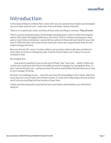# <span id="page-3-0"></span>Introduction

In this Special Report on Back Pain I share with you very powerful principles and strategies you can make-work for you – some over time and others almost instantly.

They're in no particular order, and they all have only one thing in common: **They all work**.

There's a great saying that goes: Small hinges swing big doors. And it's often the simplest advice that makes the biggest difference over time. Truth is, without knowing your back pain or your history intimately, I cannot tell you which of these will work best for you. And even if I did know the root cause of your back pain, there are no guarantees that any one single strategy will work.

But over the last 25+ years, I've been able to narrow down what really does and doesn't work when it comes to easing back pain. And the 10 principles you're about to see are included in that.

But imagine this ...

how great it would be if you try just one of these "tips" every day ... within a little over a week you could have all of these incredibly powerful strategies for easing Back Pain, "in play" and working for you – giving you back the active and healthy lifestyle that you've lost, or are in danger of losing.

So here's my challenge to you ... now that you have this knowledge in your hands, take time every day to try out at least one of these actions. It really won't take long and most of them won't cost you anything but few minutes of your time.

I think you'll be pleasantly surprised by how much better and healthier you will feel for doing so.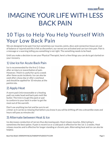# <span id="page-4-0"></span>IMAGINE YOUR LIFE WITH LESS BACK PAIN

# 10 Tips to Help You Help Yourself With Your Low Back Pain

We are designed to be pain free but sometimes our muscles, joints, discs and connective tissue are out of balance or injured and this is felt as discomfort, our nerves are activated and can turn into pain. Pain is a message or a warning telling you something is not right. The something needs to be fixed.

Until you make a decision to see your Physical Therapist, here's a few things you can do to get started on your recovery.

#### 1) Use Ice for Acute Back Pain

Ice is recommended for the first 2-3 days after an injury or exacerbation of pain. However, I find it is useful for up to a week after these acute incidents. Ice can also be used after a busy day or after a workout and should be applied for 10 minutes at the painful site.

#### 2) Apply Heat

A warm pack (microwaveable or a heating pad) can make head and back pain melt like butter. The trick is to get the pack or pad to conform to your back in order to get the most out of the warmth.

Don't use anything too hot and be sure to set

a timer as it can be so relaxing that before you know it you will be drifting off into a dreamlike state and hours will pass as minutes do!

#### 3) Alternate between Heat & Ice

Ice decreases conduction of nerves thus decreasing pain. Heat relaxes muscles. Alternating is sometimes the best option. If pain is recent ice or a cold pack is effective for the 1st 1-2 weeks. Heat relaxes muscles and is effective for longer standing or chronic pain. Alternating heat and ice can also be helpful.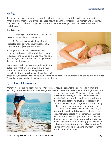#### <span id="page-5-0"></span>4) Rest

Rest or laying down in a supported position allows the long muscles of the back to relax or switch off. When muscles are in spasm or tension (not a natural or normal condition) they tighten and are painful. The key to rest is to be in a supported position- sometimes a wedge under the knees while laying flat really helps.

Rest is two-fold

1. Resting from activities or positions that increase or contribute to your pain.

2. Get into a comfortable resting fully supported position for 15-20 minutes at a time. Consider using a [wedge](%20http://physicaltherapystudiocity.com/shop/angle-pro-therapy-wedge/) under knees.

Resting the back doesn't necessarily mean sitting around doing nothing at all. Rest means to decrease the activities that you have normally been doing or at least those ones that you know flare-up your back pain.

Resting your back does a couple of things: Firstly, it stops the irritation on your back and gives it a little time to heal! Secondly, it provides some important information about what your back pain



does when you treat it with some simple tender loving care. This key information can help your Physical Therapist determine the ultimate cause of your back pain.

#### 5) Sit Less, Move more

Weren't we just talking about resting? Movement is natural, it is what the body needs. It breaks the neurological loop sending the pain message. Movement is essential to retrain the neurological loop. You



are not working in pain. Movement is done gently in a comfortable range. Moving your back means not staying in one position too long. It is well known that sitting and standing cause more pressure on your back versus simply lying down. The ironic thing is that lying around on your back for long periods isn't helpful either! Move. This means don't stay in one position too long. Mix up your positions to find out what works best for you. Remember that "the best posture is the NEXT posture"! Our spines are designed for changes in posture, position and activity but not for static posture in sitting up to 8 hrs. Sit on sit bones with erect posture- sit tall when sitting. Set a timer on your computer, phone or watch — change position after 20 minutes.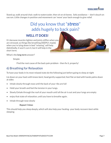

<span id="page-6-0"></span>Stand up, walk around chair, walk to watercooler, then sit on sit bones. Sofa avoidance — don't slouch on sacrum. Little changes in position and movement can 'move' your back enough to give relief.

## Did you know that "*stress*" adds hugely to back pain?

#### **Well it does!**

It's because muscles tighten and joints stiffen when you are stressed, so things like breathing DEEPLY, maybe when you're lying down in bed "relaxing", will help. Admittedly, it won't cure it, but it will help in the short term.

What's the **long term** answer?

Simple:

Find the root cause of the back pain problem - then fix it, properly!

#### 6) Breathing for Relaxation

To have your body in its most relaxed state do the following just before going to sleep at night

Lie down on your back with knees bent, head gently supported, feet flat on bed with hands palms down at sides

- Inhale slowly through nose until the back of your ribs are full
- Hold your breath and feel the tension in your lungs.
- Slowly Exhale through the roof of your mouth until all the air is out and your lungs are empty
- enjoy that state of relaxation, until you have to breathe again.
- Inhale through nose slowly

#### *Repeat 5 times*

This should help you sleep deeply, which will also help your healing- your body recovers best while sleeping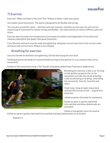

#### <span id="page-7-0"></span>7) Exercise

Exercise? When my back is this sore? Yes! Motion is lotion- Lube your joints

Our bodies need movement. The spine is designed to be flexible and strong.

The muscles around the spine — the back and core muscles, need the correct exercise and correct sequencing of movement to remain strong and flexible. You need activity to relieve stiffness, pain and stress.

Exercise also increases core temperature (increased circulation and oxygenation of muscles) and releases endorphins (the body's feel good chemicals)

Core Muscles and back muscles need strengthening- doing the correct exercises in the correct order and done with correct form. Pilates is very helpful.

#### Breathing for exercise:

Use your breath to facilitate strengthening. Get the best bang for your buck.

Inhaling prepares the body for movement(like turning on the ignition in a car prepares the car for movement).

Exhale on the movement using a "Ha" breath using deep abdominals( Transverse abdominus).



Breathing for exercise, is like a car. Turning on the ignition prepares the car for movement, just like the inhale. Exhaling is like accelerating or braking- controlling the movement- how far, how fast and when.

Hook lying- lying on back, knees bent and feet flat on mat or bed — A good first excersize.

Inhale prepares the body for movement

Exhale as spine is gently imprinted into mat/bed and deep abdominals are activated

Inhale as you gently return to neutral.

Exhale as spine is gently imprinted into mat/bed and deep abdominals are activated

Repeat 5 x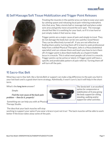#### <span id="page-8-0"></span>8) Self Massage/Soft Tissue Mobilization and Trigger Point Releases



Treating the muscles in the painful area can help to ease your pain by calming spasm and releasing local pain-relieving endorphins into that area. Take a tennis ball or massage ball and place under sore area and gently move around the sore spot. The massage should feel like it is soothing for your back, so if it is too hard or just simply makes it feel worse, stop.

Trigger points are a major cause of pain and simple to treat. They do not damage the body but can be very painful. Good News! They can be effectively turned off . If you are not effective at finding them and/or turning them off it is best to seek professional help from a skilled Physical Therapist, (who is a Musculoskeletal specialist) and can release them and teach you how to turn them off. A trigger point is described medically as a hyperirritable locus in a muscle. This is what most people call a knot in a muscle. Trigger points can be active or latent. A Trigger point will have a specific and predictable pattern of pain referral. Turning them off will turn off the pain.

#### 9) Sacro-Iliac Belt

Wearing a sacro-iliac belt, like a Serola Belt or support can make a big difference to the pain you feel in your low back and is a good short term strategy. Admittedly, it won't cure it, but it will help in the short term.

What's the **long term** answer?

 *Simple:*

 *Find the root cause of the back pain problem — then fix it, properly!*



*[The Serola belt is an excellent](http://physicaltherapystudiocity.com/shop/serola-sacroiliac-belt-small-hip-up-to-34-inch/)  option for compression or stabilization of SI area giving the body support for sitting, standing, walking and/or support for other activities.*

 Something we can help you with at Physical Therapy Studio.

The idea that your back muscles will stop

working to support your spine if you wear a brace is just not true! The back muscles will be able to work better if the brace takes away some of the pain.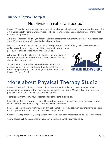#### <span id="page-9-0"></span>10) See a Physical Therapist

### No physician referral needed!

Physical Therapists are Musculoskeletal specialists who can help relieve pain, educate and correct joint dysfunctions/restrictions as well as muscle imbalances which may be contributing to, or are the root cause of your problem.

A Physical Therapist will give you feedback to facilitate Normal movement patterns. You will also learn a specific Home program for your body and your problem.

Physical Therapy will ensure you are doing the right exercise for your body, with the correct muscle activation and sequencing, dosed at the appropriate frequency to get you strong and back to your normal activities.

A Physical therapist can help you deal with common activities/ chores that irritate your back. You will learn positions for sleep that are best for your body.

Sometimes it's not possible to exercise yourself out of a pathological or painful condition without help. When exercise is not enough consider seeing the right Physical Therapist at Physical Therapy Studio



# More about Physical Therapy Studio

Physical Therapy Studio is a private studio with an authentic and natural healing "one-on-one" environment taking care of the whole person, not just the condition. We specialize in helping active people to KEEP active, mobile and out of MD's offices.

There is no waiting room. Your appointment is at the time it is booked.

Expect to be the focus of your Physical Therapist for the entire time of your visit. There are no other clients in the gym or multitasking clients or switching personnel.

Feel free to communicate with me, your Physical Therapist directly, between treatments via cell, text, email or patientfusion portal, a secure HIPPA compliant site.

Come dressed appropriately to expose problem area wearing comfortable workout clothes if possible.

You will leave EVERY session feeling very confident and clear about what's next .